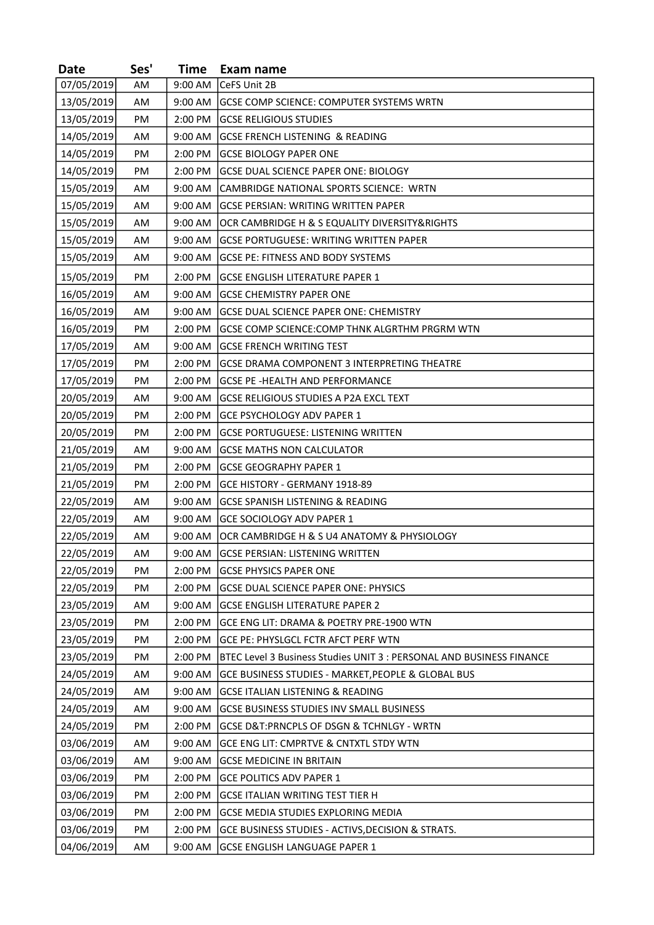| <b>Date</b> | Ses' | Time    | Exam name                                                            |
|-------------|------|---------|----------------------------------------------------------------------|
| 07/05/2019  | AM   | 9:00 AM | CeFS Unit 2B                                                         |
| 13/05/2019  | AM   | 9:00 AM | GCSE COMP SCIENCE: COMPUTER SYSTEMS WRTN                             |
| 13/05/2019  | PM   | 2:00 PM | <b>GCSE RELIGIOUS STUDIES</b>                                        |
| 14/05/2019  | AM   | 9:00 AM | <b>GCSE FRENCH LISTENING &amp; READING</b>                           |
| 14/05/2019  | PM   | 2:00 PM | <b>GCSE BIOLOGY PAPER ONE</b>                                        |
| 14/05/2019  | PM   | 2:00 PM | GCSE DUAL SCIENCE PAPER ONE: BIOLOGY                                 |
| 15/05/2019  | AM   | 9:00 AM | CAMBRIDGE NATIONAL SPORTS SCIENCE: WRTN                              |
| 15/05/2019  | AM   | 9:00 AM | GCSE PERSIAN: WRITING WRITTEN PAPER                                  |
| 15/05/2019  | AM   | 9:00 AM | OCR CAMBRIDGE H & S EQUALITY DIVERSITY&RIGHTS                        |
| 15/05/2019  | AM   | 9:00 AM | <b>GCSE PORTUGUESE: WRITING WRITTEN PAPER</b>                        |
| 15/05/2019  | AM   | 9:00 AM | GCSE PE: FITNESS AND BODY SYSTEMS                                    |
| 15/05/2019  | PM   | 2:00 PM | <b>GCSE ENGLISH LITERATURE PAPER 1</b>                               |
| 16/05/2019  | AM   | 9:00 AM | <b>GCSE CHEMISTRY PAPER ONE</b>                                      |
| 16/05/2019  | AM   | 9:00 AM | <b>GCSE DUAL SCIENCE PAPER ONE: CHEMISTRY</b>                        |
| 16/05/2019  | PM   | 2:00 PM | GCSE COMP SCIENCE:COMP THNK ALGRTHM PRGRM WTN                        |
| 17/05/2019  | AM   | 9:00 AM | <b>GCSE FRENCH WRITING TEST</b>                                      |
| 17/05/2019  | PM   | 2:00 PM | GCSE DRAMA COMPONENT 3 INTERPRETING THEATRE                          |
| 17/05/2019  | PM   | 2:00 PM | <b>GCSE PE -HEALTH AND PERFORMANCE</b>                               |
| 20/05/2019  | AM   | 9:00 AM | GCSE RELIGIOUS STUDIES A P2A EXCL TEXT                               |
| 20/05/2019  | PM   | 2:00 PM | GCE PSYCHOLOGY ADV PAPER 1                                           |
| 20/05/2019  | PM   | 2:00 PM | <b>GCSE PORTUGUESE: LISTENING WRITTEN</b>                            |
| 21/05/2019  | AM   | 9:00 AM | <b>GCSE MATHS NON CALCULATOR</b>                                     |
| 21/05/2019  | PM   | 2:00 PM | <b>GCSE GEOGRAPHY PAPER 1</b>                                        |
| 21/05/2019  | PM   | 2:00 PM | GCE HISTORY - GERMANY 1918-89                                        |
| 22/05/2019  | AM   | 9:00 AM | GCSE SPANISH LISTENING & READING                                     |
| 22/05/2019  | AM   | 9:00 AM | <b>GCE SOCIOLOGY ADV PAPER 1</b>                                     |
| 22/05/2019  | AM   | 9:00 AM | OCR CAMBRIDGE H & S U4 ANATOMY & PHYSIOLOGY                          |
| 22/05/2019  | AM   |         | 9:00 AM GCSE PERSIAN: LISTENING WRITTEN                              |
| 22/05/2019  | PM   | 2:00 PM | GCSE PHYSICS PAPER ONE                                               |
| 22/05/2019  | PM   | 2:00 PM | <b>GCSE DUAL SCIENCE PAPER ONE: PHYSICS</b>                          |
| 23/05/2019  | AM   | 9:00 AM | <b>GCSE ENGLISH LITERATURE PAPER 2</b>                               |
| 23/05/2019  | PM   | 2:00 PM | GCE ENG LIT: DRAMA & POETRY PRE-1900 WTN                             |
| 23/05/2019  | PM   | 2:00 PM | <b>GCE PE: PHYSLGCL FCTR AFCT PERF WTN</b>                           |
| 23/05/2019  | PM   | 2:00 PM | BTEC Level 3 Business Studies UNIT 3 : PERSONAL AND BUSINESS FINANCE |
| 24/05/2019  | AM   | 9:00 AM | GCE BUSINESS STUDIES - MARKET, PEOPLE & GLOBAL BUS                   |
| 24/05/2019  | AM   | 9:00 AM | <b>GCSE ITALIAN LISTENING &amp; READING</b>                          |
| 24/05/2019  | AM   | 9:00 AM | <b>GCSE BUSINESS STUDIES INV SMALL BUSINESS</b>                      |
| 24/05/2019  | PM   | 2:00 PM | GCSE D&T:PRNCPLS OF DSGN & TCHNLGY - WRTN                            |
| 03/06/2019  | AM   | 9:00 AM | GCE ENG LIT: CMPRTVE & CNTXTL STDY WTN                               |
| 03/06/2019  | AM   | 9:00 AM | <b>GCSE MEDICINE IN BRITAIN</b>                                      |
| 03/06/2019  | PM   | 2:00 PM | GCE POLITICS ADV PAPER 1                                             |
| 03/06/2019  | PM   | 2:00 PM | <b>GCSE ITALIAN WRITING TEST TIER H</b>                              |
| 03/06/2019  | PM   | 2:00 PM | <b>GCSE MEDIA STUDIES EXPLORING MEDIA</b>                            |
| 03/06/2019  | PM   | 2:00 PM | GCE BUSINESS STUDIES - ACTIVS, DECISION & STRATS.                    |
| 04/06/2019  | AM   | 9:00 AM | GCSE ENGLISH LANGUAGE PAPER 1                                        |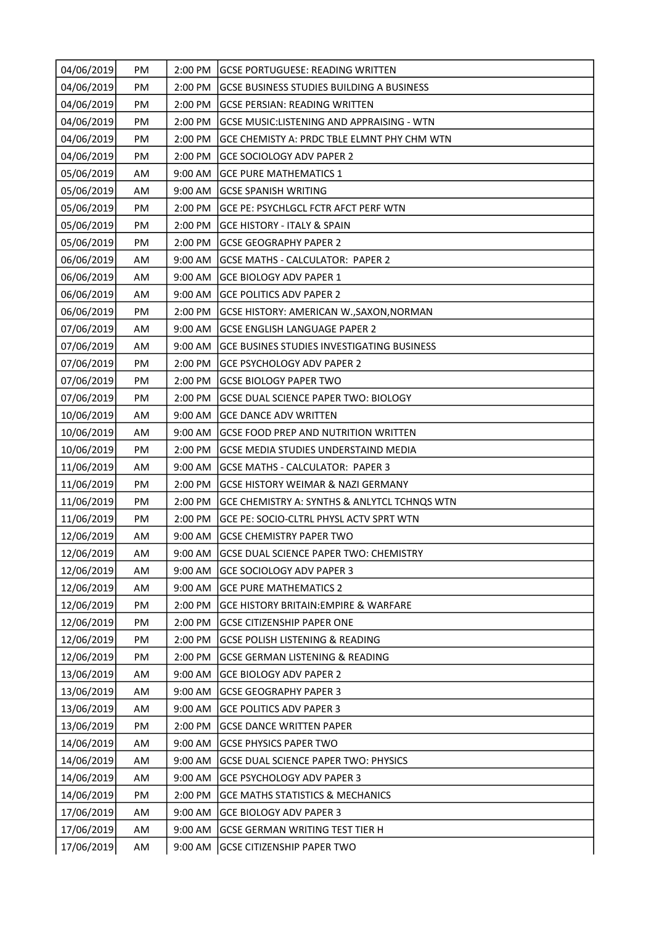| 04/06/2019 | PM | 2:00 PM | <b>GCSE PORTUGUESE: READING WRITTEN</b>          |
|------------|----|---------|--------------------------------------------------|
| 04/06/2019 | PM | 2:00 PM | GCSE BUSINESS STUDIES BUILDING A BUSINESS        |
| 04/06/2019 | PM | 2:00 PM | <b>GCSE PERSIAN: READING WRITTEN</b>             |
| 04/06/2019 | PM | 2:00 PM | GCSE MUSIC:LISTENING AND APPRAISING - WTN        |
| 04/06/2019 | PM | 2:00 PM | GCE CHEMISTY A: PRDC TBLE ELMNT PHY CHM WTN      |
| 04/06/2019 | PM | 2:00 PM | <b>GCE SOCIOLOGY ADV PAPER 2</b>                 |
| 05/06/2019 | AM | 9:00 AM | <b>GCE PURE MATHEMATICS 1</b>                    |
| 05/06/2019 | AM | 9:00 AM | <b>GCSE SPANISH WRITING</b>                      |
| 05/06/2019 | PM | 2:00 PM | GCE PE: PSYCHLGCL FCTR AFCT PERF WTN             |
| 05/06/2019 | PM | 2:00 PM | <b>GCE HISTORY - ITALY &amp; SPAIN</b>           |
| 05/06/2019 | PM | 2:00 PM | <b>GCSE GEOGRAPHY PAPER 2</b>                    |
| 06/06/2019 | AM | 9:00 AM | GCSE MATHS - CALCULATOR: PAPER 2                 |
| 06/06/2019 | AM | 9:00 AM | <b>GCE BIOLOGY ADV PAPER 1</b>                   |
| 06/06/2019 | AM | 9:00 AM | <b>GCE POLITICS ADV PAPER 2</b>                  |
| 06/06/2019 | PM | 2:00 PM | GCSE HISTORY: AMERICAN W., SAXON, NORMAN         |
| 07/06/2019 | AM | 9:00 AM | <b>GCSE ENGLISH LANGUAGE PAPER 2</b>             |
| 07/06/2019 | AM | 9:00 AM | GCE BUSINES STUDIES INVESTIGATING BUSINESS       |
| 07/06/2019 | PM | 2:00 PM | <b>GCE PSYCHOLOGY ADV PAPER 2</b>                |
| 07/06/2019 | PM | 2:00 PM | <b>GCSE BIOLOGY PAPER TWO</b>                    |
| 07/06/2019 | PM | 2:00 PM | <b>GCSE DUAL SCIENCE PAPER TWO: BIOLOGY</b>      |
| 10/06/2019 | AM | 9:00 AM | <b>GCE DANCE ADV WRITTEN</b>                     |
| 10/06/2019 | AM | 9:00 AM | <b>GCSE FOOD PREP AND NUTRITION WRITTEN</b>      |
| 10/06/2019 | PM | 2:00 PM | GCSE MEDIA STUDIES UNDERSTAIND MEDIA             |
| 11/06/2019 | AM | 9:00 AM | GCSE MATHS - CALCULATOR: PAPER 3                 |
| 11/06/2019 | PM | 2:00 PM | <b>GCSE HISTORY WEIMAR &amp; NAZI GERMANY</b>    |
| 11/06/2019 | PM | 2:00 PM | GCE CHEMISTRY A: SYNTHS & ANLYTCL TCHNQS WTN     |
| 11/06/2019 | PM | 2:00 PM | GCE PE: SOCIO-CLTRL PHYSL ACTV SPRT WTN          |
| 12/06/2019 | AM | 9:00 AM | <b>GCSE CHEMISTRY PAPER TWO</b>                  |
| 12/06/2019 | AM | 9:00 AM | GCSE DUAL SCIENCE PAPER TWO: CHEMISTRY           |
| 12/06/2019 | AM | 9:00 AM | <b>GCE SOCIOLOGY ADV PAPER 3</b>                 |
| 12/06/2019 | AM | 9:00 AM | <b>GCE PURE MATHEMATICS 2</b>                    |
| 12/06/2019 | PM | 2:00 PM | <b>GCE HISTORY BRITAIN: EMPIRE &amp; WARFARE</b> |
| 12/06/2019 | PM | 2:00 PM | <b>GCSE CITIZENSHIP PAPER ONE</b>                |
| 12/06/2019 | PM | 2:00 PM | <b>GCSE POLISH LISTENING &amp; READING</b>       |
| 12/06/2019 | PM | 2:00 PM | <b>GCSE GERMAN LISTENING &amp; READING</b>       |
| 13/06/2019 | AM | 9:00 AM | <b>GCE BIOLOGY ADV PAPER 2</b>                   |
| 13/06/2019 | AM | 9:00 AM | <b>GCSE GEOGRAPHY PAPER 3</b>                    |
| 13/06/2019 | AM | 9:00 AM | <b>GCE POLITICS ADV PAPER 3</b>                  |
| 13/06/2019 | PM | 2:00 PM | <b>GCSE DANCE WRITTEN PAPER</b>                  |
| 14/06/2019 | AM | 9:00 AM | <b>GCSE PHYSICS PAPER TWO</b>                    |
| 14/06/2019 | AM | 9:00 AM | <b>GCSE DUAL SCIENCE PAPER TWO: PHYSICS</b>      |
| 14/06/2019 | AM | 9:00 AM | <b>GCE PSYCHOLOGY ADV PAPER 3</b>                |
| 14/06/2019 | PM | 2:00 PM | <b>GCE MATHS STATISTICS &amp; MECHANICS</b>      |
| 17/06/2019 | AM | 9:00 AM | <b>GCE BIOLOGY ADV PAPER 3</b>                   |
| 17/06/2019 | AM | 9:00 AM | <b>GCSE GERMAN WRITING TEST TIER H</b>           |
| 17/06/2019 | AM | 9:00 AM | <b>GCSE CITIZENSHIP PAPER TWO</b>                |